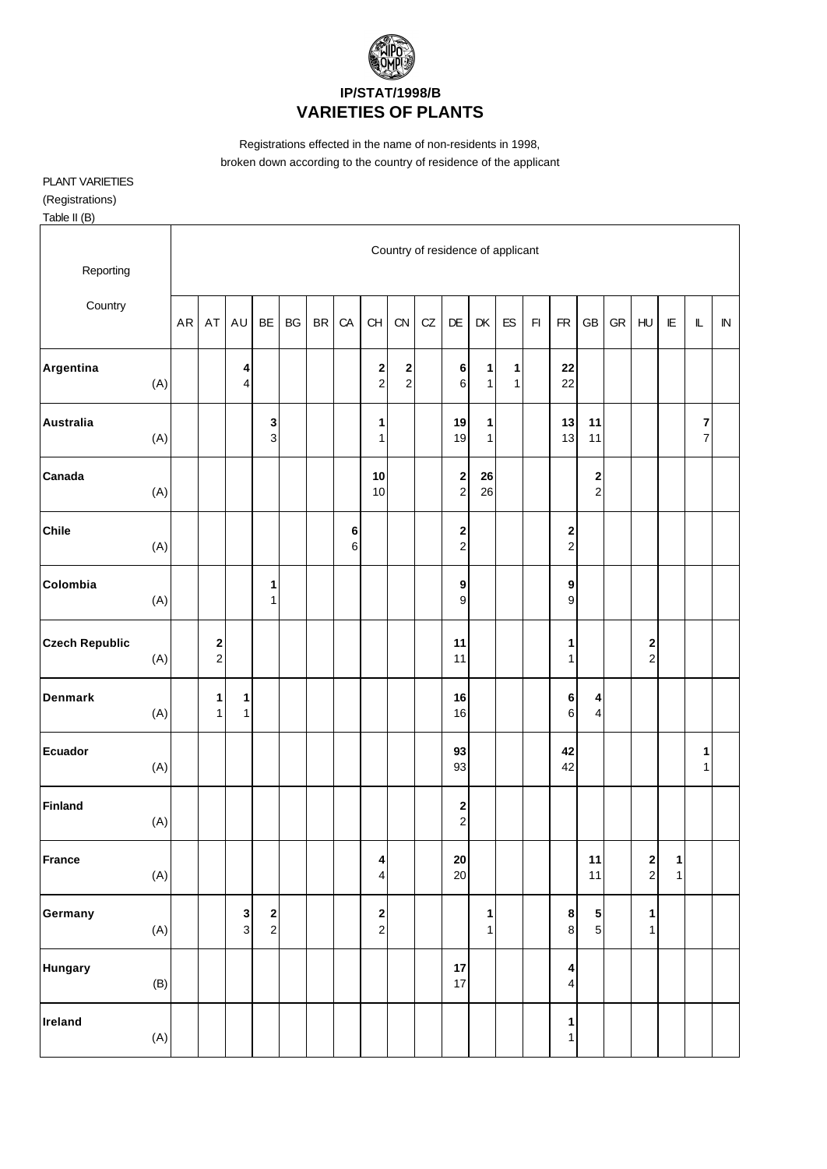

Registrations effected in the name of non-residents in 1998, broken down according to the country of residence of the applicant

## PLANT VARIETIES

(Registrations)

Table II (B)

| Reporting             |     |            |                             |                   |                                          |    |           |              |                                        |                     |    |                                       | Country of residence of applicant |                              |                         |                              |                               |            |                              |                              |                                    |            |
|-----------------------|-----|------------|-----------------------------|-------------------|------------------------------------------|----|-----------|--------------|----------------------------------------|---------------------|----|---------------------------------------|-----------------------------------|------------------------------|-------------------------|------------------------------|-------------------------------|------------|------------------------------|------------------------------|------------------------------------|------------|
| Country               |     | ${\sf AR}$ | AT                          | AU                | BE                                       | BG | <b>BR</b> | CA           | CH                                     | CN                  | CZ | DE                                    | DK                                | ${\sf ES}$                   | $\mathsf{F} \mathsf{I}$ | ${\sf FR}$                   | GB                            | ${\sf GR}$ | HU                           | E                            | $\mathbb L$                        | ${\sf IN}$ |
| Argentina             | (A) |            |                             | 4<br>4            |                                          |    |           |              | $\mathbf{2}$<br>$\mathbf 2$            | 2<br>$\overline{c}$ |    | $\bf 6$<br>$\,6$                      | 1<br>1                            | $\mathbf{1}$<br>$\mathbf{1}$ |                         | 22<br>22                     |                               |            |                              |                              |                                    |            |
| <b>Australia</b>      | (A) |            |                             |                   | 3<br>$\mathbf{3}$                        |    |           |              | 1<br>$\mathbf{1}$                      |                     |    | 19<br>19                              | $\mathbf{1}$<br>$\mathbf{1}$      |                              |                         | 13<br>13                     | 11<br>11                      |            |                              |                              | $\boldsymbol{7}$<br>$\overline{7}$ |            |
| Canada                | (A) |            |                             |                   |                                          |    |           |              | 10<br>$10$                             |                     |    | $\overline{\mathbf{c}}$<br>$\sqrt{2}$ | 26<br>26                          |                              |                         |                              | $\mathbf 2$<br>$\overline{c}$ |            |                              |                              |                                    |            |
| <b>Chile</b>          | (A) |            |                             |                   |                                          |    |           | $\bf 6$<br>6 |                                        |                     |    | $\mathbf 2$<br>$\mathbf 2$            |                                   |                              |                         | $\mathbf 2$<br>$\mathbf 2$   |                               |            |                              |                              |                                    |            |
| Colombia              | (A) |            |                             |                   | $\mathbf{1}$<br>1 <sup>1</sup>           |    |           |              |                                        |                     |    | $\boldsymbol{9}$<br>9                 |                                   |                              |                         | $\boldsymbol{9}$<br>9        |                               |            |                              |                              |                                    |            |
| <b>Czech Republic</b> | (A) |            | $\mathbf 2$<br>$\mathbf{2}$ |                   |                                          |    |           |              |                                        |                     |    | 11<br>11                              |                                   |                              |                         | 1<br>1                       |                               |            | 2<br>$\boldsymbol{2}$        |                              |                                    |            |
| <b>Denmark</b>        | (A) |            | 1<br>1 <sup>1</sup>         | 1<br>$\mathbf{1}$ |                                          |    |           |              |                                        |                     |    | 16<br>16                              |                                   |                              |                         | $\bf 6$<br>6                 | 4<br>$\overline{\mathbf{4}}$  |            |                              |                              |                                    |            |
| <b>Ecuador</b>        | (A) |            |                             |                   |                                          |    |           |              |                                        |                     |    | 93<br>93                              |                                   |                              |                         | 42<br>42                     |                               |            |                              |                              | $\mathbf{1}$<br>1                  |            |
| <b>Finland</b>        | (A) |            |                             |                   |                                          |    |           |              |                                        |                     |    | 2<br>$\mathbf 2$                      |                                   |                              |                         |                              |                               |            |                              |                              |                                    |            |
| France                | (A) |            |                             |                   |                                          |    |           |              | $\vert$<br>$\overline{4}$              |                     |    | ${\bf 20}$<br>20                      |                                   |                              |                         |                              | 11<br>11                      |            | $\mathbf{2}$<br>$\mathbf{2}$ | $\mathbf{1}$<br>$\mathbf{1}$ |                                    |            |
| Germany               | (A) |            |                             | $\mathbf 3$<br>3  | $\begin{array}{c} \n2 \\ 2\n\end{array}$ |    |           |              | $\overline{\mathbf{c}}$<br>$\mathbf 2$ |                     |    |                                       | $\mathbf{1}$<br>1                 |                              |                         | 8<br>$\bf 8$                 | ${\bf 5}$<br>$\sqrt{5}$       |            | 1<br>$\mathbf{1}$            |                              |                                    |            |
| <b>Hungary</b>        | (B) |            |                             |                   |                                          |    |           |              |                                        |                     |    | $17\,$<br>$17$                        |                                   |                              |                         | 4<br>$\overline{\mathbf{4}}$ |                               |            |                              |                              |                                    |            |
| Ireland               | (A) |            |                             |                   |                                          |    |           |              |                                        |                     |    |                                       |                                   |                              |                         | 1<br>1                       |                               |            |                              |                              |                                    |            |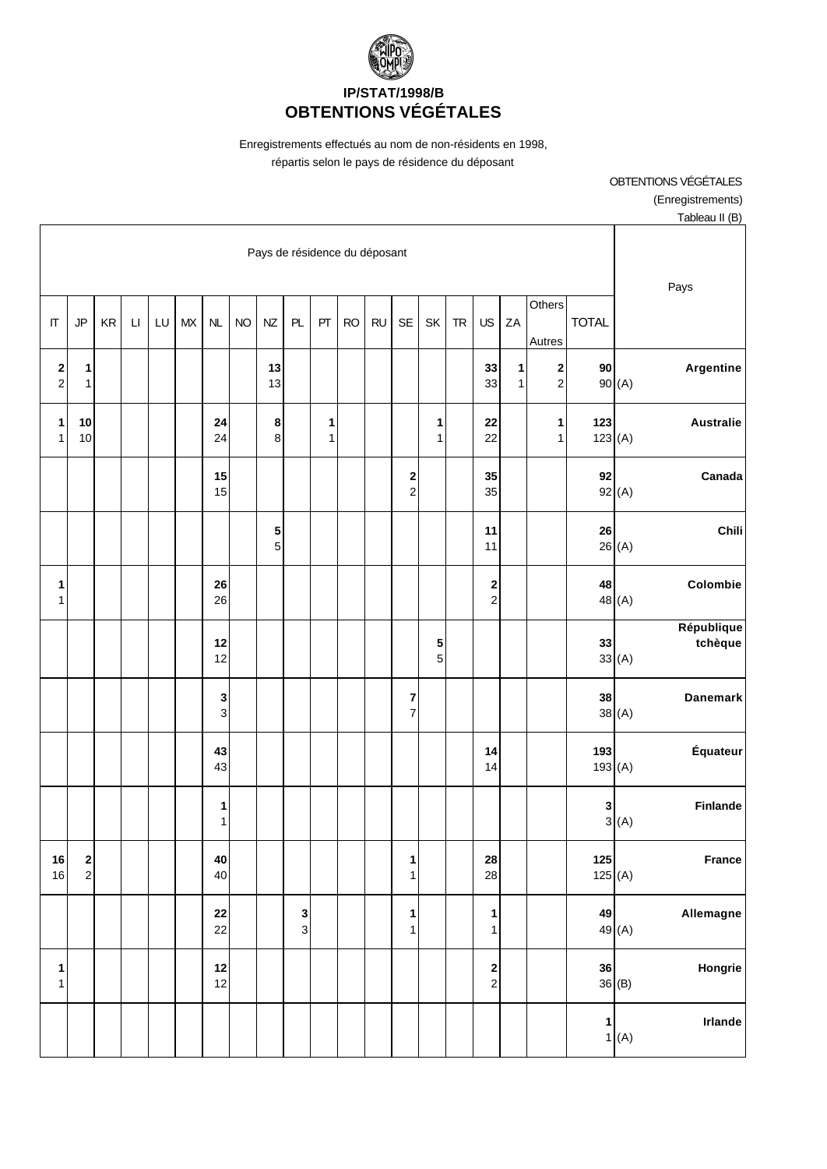

Enregistrements effectués au nom de non-résidents en 1998, répartis selon le pays de résidence du déposant

> OBTENTIONS VÉGÉTALES (Enregistrements) Tableau II (B)

|                   |                                          |                      |                        |    |    |            |           | Pays de résidence du déposant |               |        |           |           |                              |                   |            |                                             |                   |                                |                  |                                |
|-------------------|------------------------------------------|----------------------|------------------------|----|----|------------|-----------|-------------------------------|---------------|--------|-----------|-----------|------------------------------|-------------------|------------|---------------------------------------------|-------------------|--------------------------------|------------------|--------------------------------|
| $\Pi$             | JP                                       | $\mathsf{KR}\xspace$ | $\mathsf{L}\mathsf{I}$ | LU | MX | NL         | <b>NO</b> | <b>NZ</b>                     | PL            | PT     | <b>RO</b> | <b>RU</b> | <b>SE</b>                    | SK                | ${\sf TR}$ | US                                          | ZA                | Others<br>Autres               | <b>TOTAL</b>     | Pays                           |
| $\frac{2}{2}$     | 1<br>1                                   |                      |                        |    |    |            |           | 13<br>13                      |               |        |           |           |                              |                   |            | 33<br>33                                    | 1<br>$\mathbf{1}$ | $\mathbf{2}$<br>$\overline{2}$ | 90               | Argentine<br>90(A)             |
| 1<br>$\mathbf{1}$ | $10$<br>10                               |                      |                        |    |    | 24<br>24   |           | $\bf8$<br>$\mathbf{8}$        |               | 1<br>1 |           |           |                              | 1<br>$\mathbf{1}$ |            | 22<br>22                                    |                   | 1<br>1                         | 123<br>123(A)    | <b>Australie</b>               |
|                   |                                          |                      |                        |    |    | 15<br>15   |           |                               |               |        |           |           | $\frac{2}{2}$                |                   |            | 35<br>35                                    |                   |                                | 92               | Canada<br>92(A)                |
|                   |                                          |                      |                        |    |    |            |           | ${\bf 5}$<br>5 <sup>1</sup>   |               |        |           |           |                              |                   |            | 11<br>11                                    |                   |                                | 26               | Chili<br>26(A)                 |
| 1<br>$\mathbf{1}$ |                                          |                      |                        |    |    | 26<br>26   |           |                               |               |        |           |           |                              |                   |            | $\frac{2}{2}$                               |                   |                                | 48               | Colombie<br>48 (A)             |
|                   |                                          |                      |                        |    |    | 12<br>12   |           |                               |               |        |           |           |                              | 5<br>5            |            |                                             |                   |                                | 33               | République<br>tchèque<br>33(A) |
|                   |                                          |                      |                        |    |    | 3<br>3     |           |                               |               |        |           |           | 7<br>$\overline{7}$          |                   |            |                                             |                   |                                | 38               | Danemark<br>38(A)              |
|                   |                                          |                      |                        |    |    | 43<br>43   |           |                               |               |        |           |           |                              |                   |            | 14<br>14                                    |                   |                                | 193<br>193(A)    | Équateur                       |
|                   |                                          |                      |                        |    |    | 1<br>1     |           |                               |               |        |           |           |                              |                   |            |                                             |                   |                                | 3                | Finlande<br>3(A)               |
| 16<br>16          | $\begin{array}{c} \n2 \\ 2\n\end{array}$ |                      |                        |    |    | 40<br>40   |           |                               |               |        |           |           | $\mathbf{1}$<br>$\mathbf{1}$ |                   |            | ${\bf 28}$<br>28                            |                   |                                | 125<br>125 $(A)$ | France                         |
|                   |                                          |                      |                        |    |    | 22<br>22   |           |                               | $\frac{3}{3}$ |        |           |           | 1<br>$\mathbf{1}$            |                   |            | 1<br>1                                      |                   |                                | 49               | Allemagne<br>49 <sub>(A)</sub> |
| 1<br>$\mathbf{1}$ |                                          |                      |                        |    |    | $12$<br>12 |           |                               |               |        |           |           |                              |                   |            | $\begin{array}{c} \n2 \\ \n2 \n\end{array}$ |                   |                                | 36               | Hongrie<br>36(B)               |
|                   |                                          |                      |                        |    |    |            |           |                               |               |        |           |           |                              |                   |            |                                             |                   |                                | $\mathbf{1}$     | Irlande<br>1(A)                |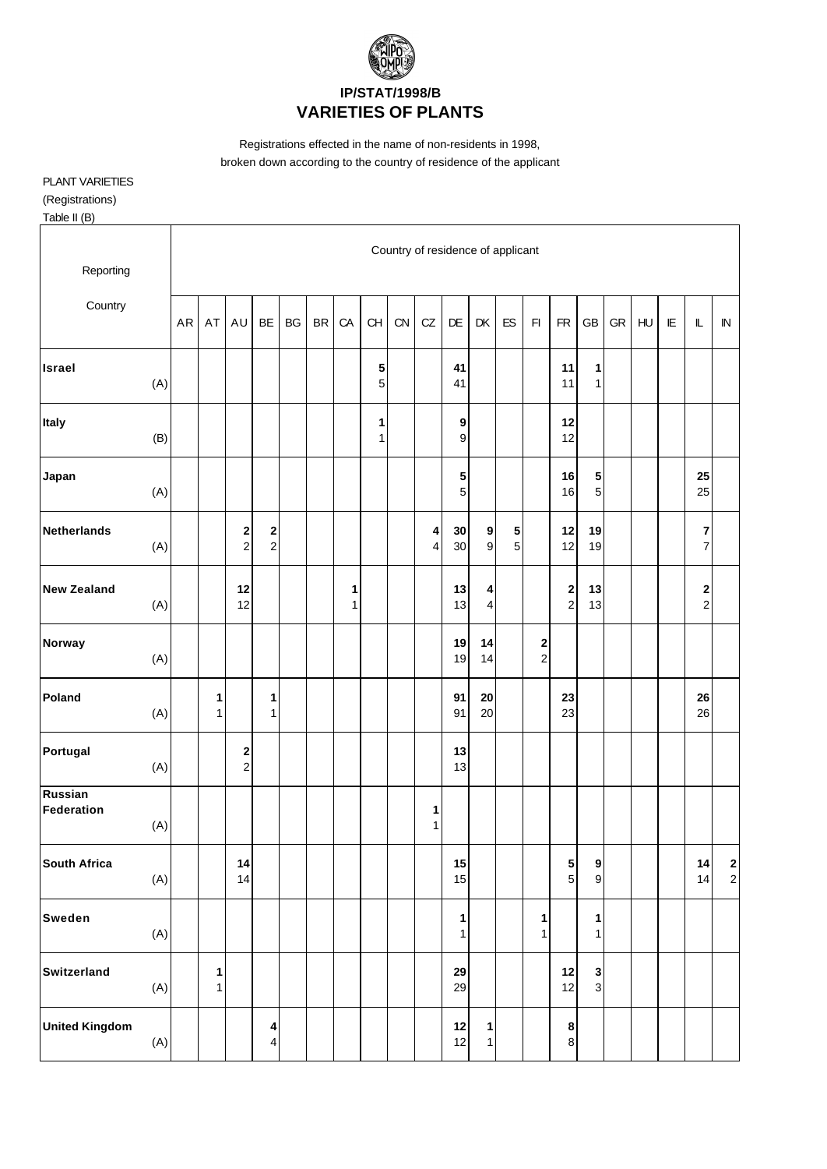

Registrations effected in the name of non-residents in 1998, broken down according to the country of residence of the applicant

## PLANT VARIETIES

(Registrations)

Table II (B)

| Reporting             |     |    |                   |                                 |                                           |    |           |        |        |    | Country of residence of applicant |          |                                 |                             |                               |                            |                                      |            |                |     |                                    |                                          |
|-----------------------|-----|----|-------------------|---------------------------------|-------------------------------------------|----|-----------|--------|--------|----|-----------------------------------|----------|---------------------------------|-----------------------------|-------------------------------|----------------------------|--------------------------------------|------------|----------------|-----|------------------------------------|------------------------------------------|
| Country               |     | AR | AT                | AU                              | BE                                        | BG | <b>BR</b> | CA     | CH     | CN | CZ                                | DE       | DK                              | ES                          | F1                            | <b>FR</b>                  | <b>GB</b>                            | ${\sf GR}$ | H <sub>U</sub> | IE. | $\mathbb L$                        | ${\sf IN}$                               |
| <b>Israel</b>         | (A) |    |                   |                                 |                                           |    |           |        | 5<br>5 |    |                                   | 41<br>41 |                                 |                             |                               | 11<br>11                   | 1<br>$\mathbf{1}$                    |            |                |     |                                    |                                          |
| Italy                 | (B) |    |                   |                                 |                                           |    |           |        | 1<br>1 |    |                                   | 9<br>9   |                                 |                             |                               | 12<br>12                   |                                      |            |                |     |                                    |                                          |
| Japan                 | (A) |    |                   |                                 |                                           |    |           |        |        |    |                                   | 5<br>5   |                                 |                             |                               | 16<br>16                   | 5<br>$\sqrt{5}$                      |            |                |     | 25<br>25                           |                                          |
| <b>Netherlands</b>    | (A) |    |                   | $\boldsymbol{2}$<br>$\mathbf 2$ | $\overline{\mathbf{c}}$<br>$\overline{2}$ |    |           |        |        |    | 4<br>4                            | 30<br>30 | $\boldsymbol{9}$<br>$\mathsf g$ | ${\bf 5}$<br>$\overline{5}$ |                               | 12<br>12                   | 19<br>19                             |            |                |     | 7<br>$\overline{7}$                |                                          |
| <b>New Zealand</b>    | (A) |    |                   | 12<br>12                        |                                           |    |           | 1<br>1 |        |    |                                   | 13<br>13 | 4<br>$\overline{\mathbf{4}}$    |                             |                               | $\mathbf 2$<br>$\mathbf 2$ | 13<br>13                             |            |                |     | $\begin{array}{c} \n2 \end{array}$ |                                          |
| Norway                | (A) |    |                   |                                 |                                           |    |           |        |        |    |                                   | 19<br>19 | 14<br>14                        |                             | $\mathbf 2$<br>$\overline{c}$ |                            |                                      |            |                |     |                                    |                                          |
| Poland                | (A) |    | 1<br>1            |                                 | 1<br>$\mathbf{1}$                         |    |           |        |        |    |                                   | 91<br>91 | 20<br>20                        |                             |                               | 23<br>23                   |                                      |            |                |     | 26<br>26                           |                                          |
| Portugal              | (A) |    |                   | $\bf{2}$<br>$\mathbf 2$         |                                           |    |           |        |        |    |                                   | 13<br>13 |                                 |                             |                               |                            |                                      |            |                |     |                                    |                                          |
| Russian<br>Federation | (A) |    |                   |                                 |                                           |    |           |        |        |    | 1<br>1                            |          |                                 |                             |                               |                            |                                      |            |                |     |                                    |                                          |
| <b>South Africa</b>   | (A) |    |                   | 14<br>14                        |                                           |    |           |        |        |    |                                   | 15<br>15 |                                 |                             |                               | 5<br>$\sqrt{5}$            | $\boldsymbol{9}$<br>$\boldsymbol{9}$ |            |                |     | 14<br>14                           | $\begin{array}{c} \n2 \\ 2\n\end{array}$ |
| <b>Sweden</b>         | (A) |    |                   |                                 |                                           |    |           |        |        |    |                                   | 1<br>1   |                                 |                             | $\mathbf{1}$<br>$\mathbf{1}$  |                            | 1<br>$\mathbf{1}$                    |            |                |     |                                    |                                          |
| Switzerland           | (A) |    | 1<br>$\mathbf{1}$ |                                 |                                           |    |           |        |        |    |                                   | 29<br>29 |                                 |                             |                               | $12$<br>12                 | $\mathbf 3$<br>$\overline{3}$        |            |                |     |                                    |                                          |
| <b>United Kingdom</b> | (A) |    |                   |                                 | 4<br>4                                    |    |           |        |        |    |                                   | 12<br>12 | $\mathbf{1}$<br>1               |                             |                               | $\bf8$<br>$\bf 8$          |                                      |            |                |     |                                    |                                          |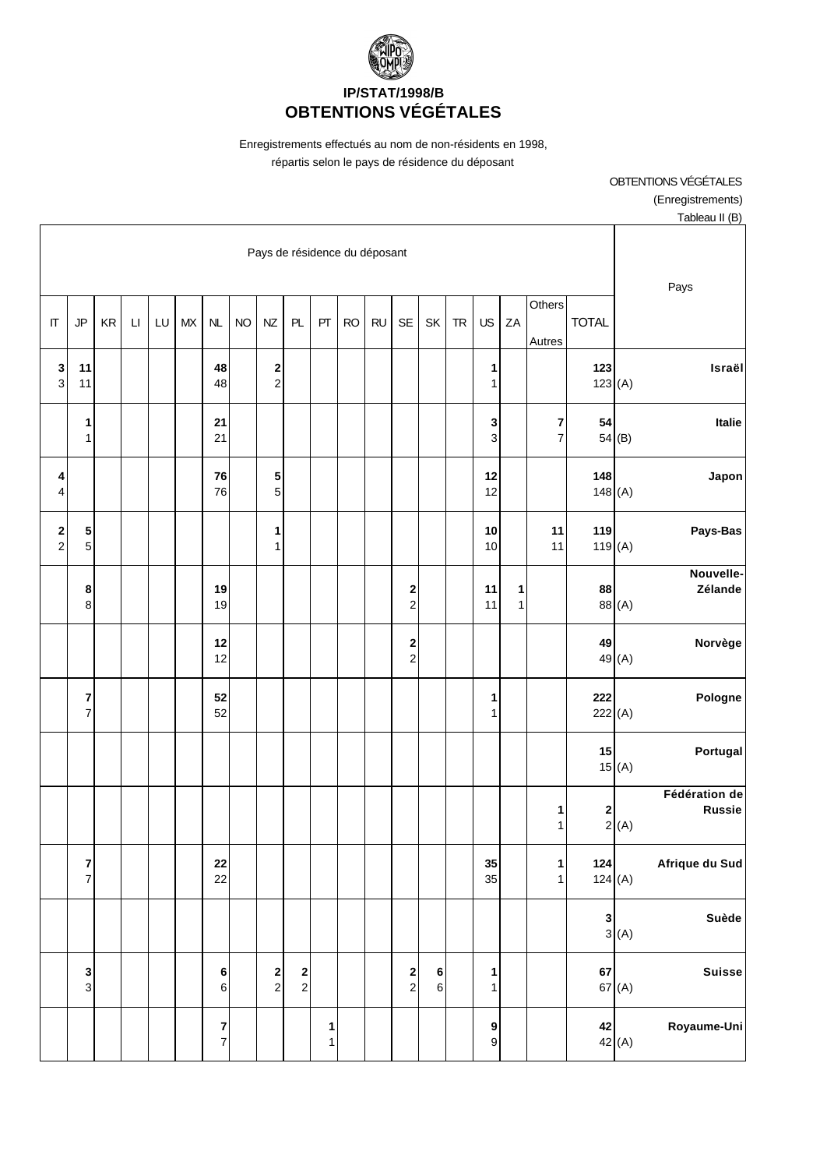

Enregistrements effectués au nom de non-résidents en 1998, répartis selon le pays de résidence du déposant

| Tableau II (B)                                                                  |               |                     |                              |                                    |           |                        |                                          |                               |           |                   |                                       |                                          |           |                                           |        |    |                        |    |                     |                                           |
|---------------------------------------------------------------------------------|---------------|---------------------|------------------------------|------------------------------------|-----------|------------------------|------------------------------------------|-------------------------------|-----------|-------------------|---------------------------------------|------------------------------------------|-----------|-------------------------------------------|--------|----|------------------------|----|---------------------|-------------------------------------------|
| Pays                                                                            |               |                     |                              |                                    |           |                        |                                          | Pays de résidence du déposant |           |                   |                                       |                                          |           |                                           |        |    |                        |    |                     |                                           |
|                                                                                 | <b>TOTAL</b>  | Others<br>Autres    | ZA                           | US                                 | <b>TR</b> | SK                     | <b>SE</b>                                | <b>RU</b>                     | <b>RO</b> | PT                | PL                                    | NZ                                       | <b>NO</b> | NL                                        | $M\!X$ | LU | $\mathsf{L}\mathsf{I}$ | KR | <b>JP</b>           | $\Pi$                                     |
| Israël                                                                          | 123<br>123(A) |                     |                              | 1<br>1                             |           |                        |                                          |                               |           |                   |                                       | 2<br>$\overline{c}$                      |           | 48<br>48                                  |        |    |                        |    | 11<br>11            | 3<br>$\mathbf{3}$                         |
| Italie<br>54(B)                                                                 | 54            | 7<br>$\overline{7}$ |                              | 3<br>3                             |           |                        |                                          |                               |           |                   |                                       |                                          |           | 21<br>21                                  |        |    |                        |    | 1<br>$\mathbf{1}$   |                                           |
| <b>Japon</b>                                                                    | 148<br>148(A) |                     |                              | 12<br>12                           |           |                        |                                          |                               |           |                   |                                       | 5<br>5                                   |           | 76<br>76                                  |        |    |                        |    |                     | 4<br>4                                    |
| Pays-Bas                                                                        | 119<br>119(A) | 11<br>11            |                              | 10<br>10                           |           |                        |                                          |                               |           |                   |                                       | 1<br>1                                   |           |                                           |        |    |                        |    | 5<br>$\sqrt{5}$     | $\overline{\mathbf{c}}$<br>$\overline{a}$ |
| Nouvelle-<br>Zélande<br>88 (A)                                                  | 88            |                     | $\mathbf{1}$<br>$\mathbf{1}$ | 11<br>11                           |           |                        | $\begin{array}{c} \n2 \\ 2\n\end{array}$ |                               |           |                   |                                       |                                          |           | 19<br>19                                  |        |    |                        |    | 8<br>8              |                                           |
| Norvège<br>49 (A)                                                               | 49            |                     |                              |                                    |           |                        | $\begin{array}{c} 2 \\ 2 \end{array}$    |                               |           |                   |                                       |                                          |           | 12<br>12                                  |        |    |                        |    |                     |                                           |
| Pologne                                                                         | 222<br>222(A) |                     |                              | 1<br>1                             |           |                        |                                          |                               |           |                   |                                       |                                          |           | 52<br>52                                  |        |    |                        |    | 7<br>$\overline{7}$ |                                           |
| Portugal<br>15(A)                                                               | 15            |                     |                              |                                    |           |                        |                                          |                               |           |                   |                                       |                                          |           |                                           |        |    |                        |    |                     |                                           |
| Fédération de<br><b>Russie</b><br>$\begin{bmatrix} 2 \\ 2 \\ (A) \end{bmatrix}$ |               | 1<br>$\mathbf{1}$   |                              |                                    |           |                        |                                          |                               |           |                   |                                       |                                          |           |                                           |        |    |                        |    |                     |                                           |
| Afrique du Sud                                                                  | 124<br>124(A) | 1<br>1              |                              | 35<br>35                           |           |                        |                                          |                               |           |                   |                                       |                                          |           | 22<br>22                                  |        |    |                        |    | 7<br>$\overline{7}$ |                                           |
| Suède<br>3(A)                                                                   | $\mathbf{3}$  |                     |                              |                                    |           |                        |                                          |                               |           |                   |                                       |                                          |           |                                           |        |    |                        |    |                     |                                           |
| <b>Suisse</b><br>67(A)                                                          | 67            |                     |                              | 1<br>1                             |           | $\bf 6$<br>$\,$ 6 $\,$ | $\begin{array}{c} \n2 \\ 2\n\end{array}$ |                               |           |                   | $\begin{array}{c} 2 \\ 2 \end{array}$ | $\begin{array}{c} \n2 \\ 2\n\end{array}$ |           | $\bf 6$<br>$6 \overline{6}$               |        |    |                        |    | 3<br>$\overline{3}$ |                                           |
| Royaume-Uni<br>42(A)                                                            | 42            |                     |                              | $\boldsymbol{9}$<br>$\overline{9}$ |           |                        |                                          |                               |           | 1<br>$\mathbf{1}$ |                                       |                                          |           | $\overline{\mathbf{7}}$<br>$\overline{7}$ |        |    |                        |    |                     |                                           |

OBTENTIONS VÉGÉTALES (Enregistrements)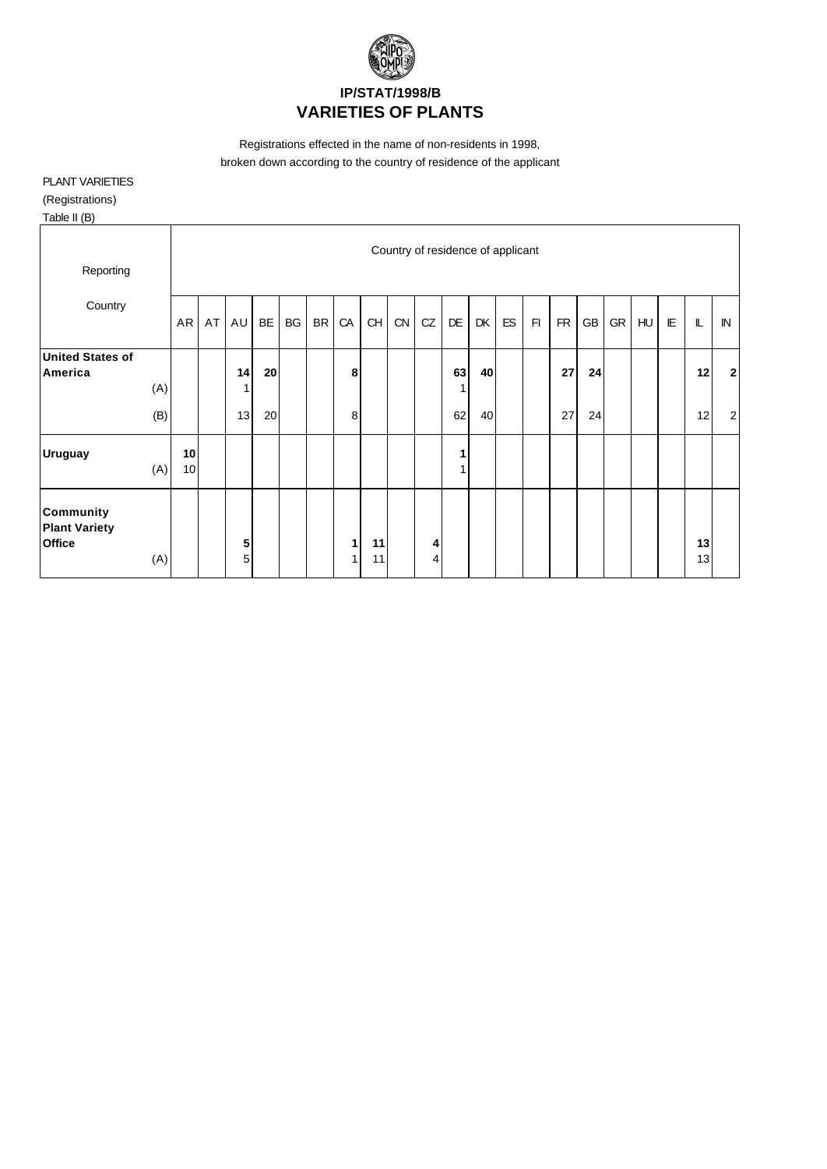

Registrations effected in the name of non-residents in 1998, broken down according to the country of residence of the applicant

## PLANT VARIETIES

(Registrations)

Table II (B)

| Reporting                                                 |            |          |    |          |          |    |           |        |          | Country of residence of applicant |        |               |          |    |    |           |          |    |                |   |          |                      |
|-----------------------------------------------------------|------------|----------|----|----------|----------|----|-----------|--------|----------|-----------------------------------|--------|---------------|----------|----|----|-----------|----------|----|----------------|---|----------|----------------------|
| Country                                                   |            | AR       | AT | AU       | BE       | BG | <b>BR</b> | CA     | CH       | CN                                | CZ     | DE            | DK       | ES | F1 | <b>FR</b> | GB       | GR | H <sub>U</sub> | E | L        | ${\sf IN}$           |
| <b>United States of</b><br>America                        | (A)<br>(B) |          |    | 14<br>13 | 20<br>20 |    |           | 8<br>8 |          |                                   |        | 63<br>1<br>62 | 40<br>40 |    |    | 27<br>27  | 24<br>24 |    |                |   | 12<br>12 | $2\vert$<br>$2\vert$ |
| <b>Uruguay</b>                                            | (A)        | 10<br>10 |    |          |          |    |           |        |          |                                   |        | 1<br>4        |          |    |    |           |          |    |                |   |          |                      |
| <b>Community</b><br><b>Plant Variety</b><br><b>Office</b> | (A)        |          |    | 5<br>5   |          |    |           | 1<br>1 | 11<br>11 |                                   | 4<br>∕ |               |          |    |    |           |          |    |                |   | 13<br>13 |                      |